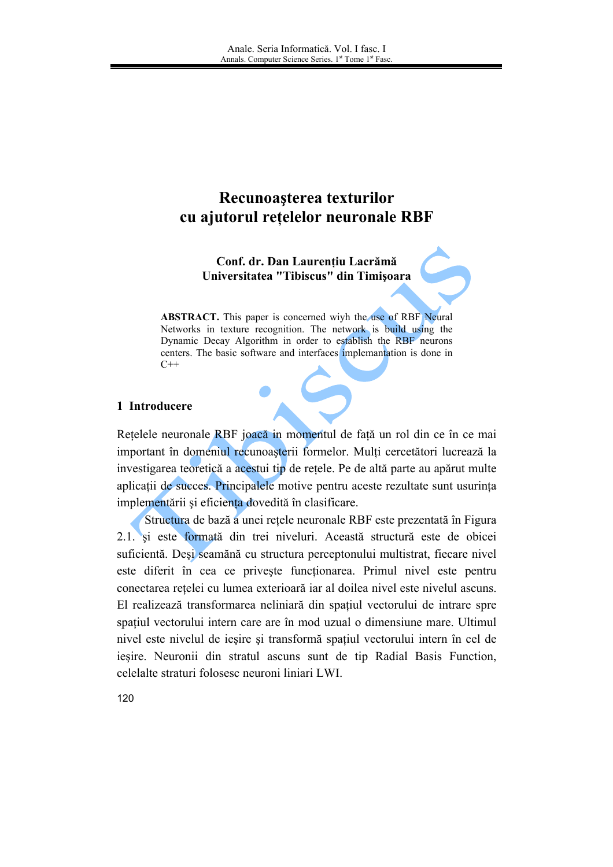# Recunoașterea texturilor cu ajutorul rețelelor neuronale RBF

Conf. dr. Dan Laurențiu Lacrămă Universitatea "Tibiscus" din Timișoara

**ABSTRACT.** This paper is concerned wiyh the use of RBF Neural Networks in texture recognition. The network is build using the Dynamic Decay Algorithm in order to establish the RBF neurons centers. The basic software and interfaces implemantation is done in  $C++$ 

#### 1 Introducere

Retelele neuronale RBF joacă in momentul de fată un rol din ce în ce mai important în domeniul recunoașterii formelor. Mulți cercetători lucrează la investigarea teoretică a acestui tip de retele. Pe de altă parte au apărut multe aplicații de succes. Principalele motive pentru aceste rezultate sunt usurința implementării și eficienta dovedită în clasificare.

Structura de bază a unei retele neuronale RBF este prezentată în Figura 2.1 si este formată din trei niveluri. Această structură este de obicei suficientă. Deși seamănă cu structura perceptonului multistrat, fiecare nivel este diferit în cea ce priveste functionarea. Primul nivel este pentru conectarea rețelei cu lumea exterioară iar al doilea nivel este nivelul ascuns. El realizează transformarea neliniară din spatiul vectorului de intrare spre spațiul vectorului intern care are în mod uzual o dimensiune mare. Ultimul nivel este nivelul de ieșire și transformă spațiul vectorului intern în cel de ieșire. Neuronii din stratul ascuns sunt de tip Radial Basis Function, celelalte straturi folosesc neuroni liniari LWI.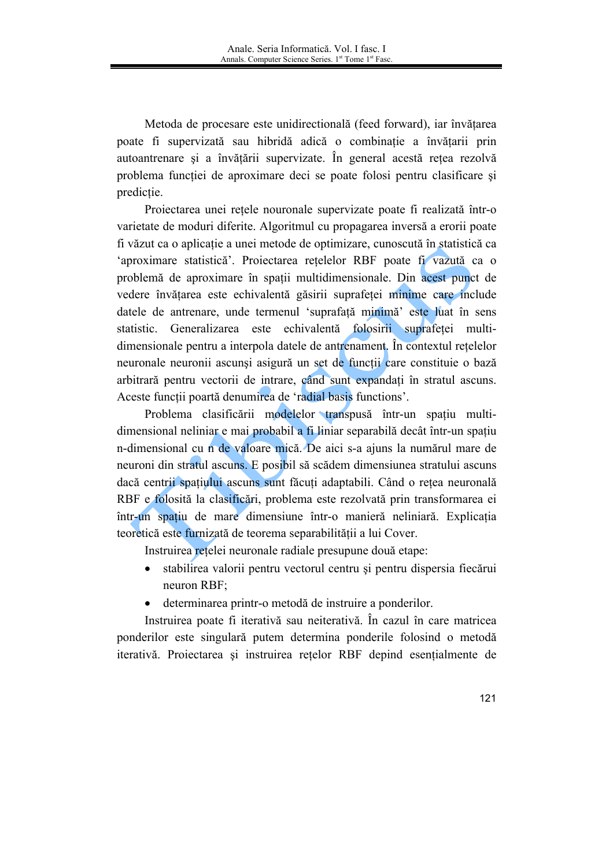Metoda de procesare este unidirectională (feed forward), iar învătarea poate fi supervizată sau hibridă adică o combinatie a învătarii prin autoantrenare și a învătării supervizate. În general acestă rețea rezolvă problema functiei de aproximare deci se poate folosi pentru clasificare si predictie.

Projectarea unei retele nouronale supervizate poate fi realizată într-o varietate de moduri diferite. Algoritmul cu propagarea inversă a erorii poate fi văzut ca o aplicatie a unei metode de optimizare, cunoscută în statistică ca 'aproximare statistică'. Proiectarea rețelelor RBF poate fi vazută ca o problemă de aproximare în spatii multidimensionale. Din acest punct de vedere învățarea este echivalentă găsirii suprafeței minime care include datele de antrenare, unde termenul 'suprafață minimă' este luat în sens statistic. Generalizarea este echivalentă folosirii suprafetei multidimensionale pentru a interpola datele de antrenament. În contextul retelelor neuronale neuronii ascunsi asigură un set de funcții care constituie o bază arbitrară pentru vectorii de intrare, când sunt expandati în stratul ascuns. Aceste functii poartă denumirea de 'radial basis functions'.

Problema clasificării modelelor transpusă într-un spațiu multidimensional neliniar e mai probabil a fi liniar separabilă decât într-un spațiu n-dimensional cu n de valoare mică. De aici s-a ajuns la numărul mare de neuroni din stratul ascuns. E posibil să scădem dimensiunea stratului ascuns dacă centrii spatiului ascuns sunt făcuti adaptabili. Când o retea neuronală RBF e folosită la clasificări, problema este rezolvată prin transformarea ei într-un spatiu de mare dimensiune într-o manieră neliniară. Explicatia teoretică este furnizată de teorema separabilității a lui Cover.

Instruirea retelei neuronale radiale presupune două etape:

- $\bullet$ stabilirea valorii pentru vectorul centru și pentru dispersia fiecărui neuron RBF;
- determinarea printr-o metodă de instruire a ponderilor.  $\bullet$

Instruirea poate fi iterativă sau neiterativă. În cazul în care matricea ponderilor este singulară putem determina ponderile folosind o metodă iterativă. Proiectarea și instruirea rețelor RBF depind esențialmente de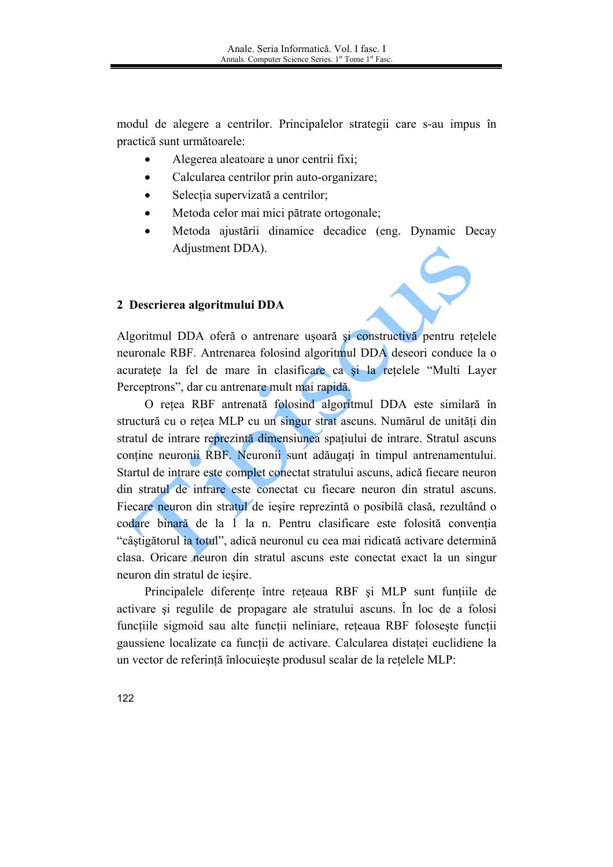modul de alegere a centrilor. Principalelor strategii care s-au impus în practică sunt următoarele:

- Alegerea aleatoare a unor centrii fixi;  $\bullet$
- Calcularea centrilor prin auto-organizare;  $\bullet$
- Selecția supervizată a centrilor;  $\bullet$
- Metoda celor mai mici pătrate ortogonale;  $\bullet$
- Metoda ajustării dinamice decadice (eng. Dynamic Decay  $\bullet$ Adiustment DDA).

#### 2 Descrierea algoritmului DDA

Algoritmul DDA oferă o antrenare ușoară și constructivă pentru rețelele neuronale RBF. Antrenarea folosind algoritmul DDA deseori conduce la o acuratete la fel de mare în clasificare ca și la rețelele "Multi Layer Perceptrons", dar cu antrenare mult mai rapidă.

O retea RBF antrenată folosind algoritmul DDA este similară în structură cu o rețea MLP cu un singur strat ascuns. Numărul de unități din stratul de intrare reprezintă dimensiunea spațiului de intrare. Stratul ascuns conține neuronii RBF. Neuronii sunt adăugați în timpul antrenamentului. Startul de intrare este complet conectat stratului ascuns, adică fiecare neuron din stratul de intrare este conectat cu fiecare neuron din stratul ascuns. Fiecare neuron din stratul de iesire reprezintă o posibilă clasă, rezultând o codare binară de la 1 la n. Pentru clasificare este folosită conventia "câștigătorul ia totul", adică neuronul cu cea mai ridicată activare determină clasa. Oricare neuron din stratul ascuns este conectat exact la un singur neuron din stratul de ieșire.

Principalele diferente între reteaua RBF și MLP sunt funtiile de activare si regulile de propagare ale stratului ascuns. În loc de a folosi functiile sigmoid sau alte functii neliniare, reteaua RBF foloseste functii gaussiene localizate ca funcții de activare. Calcularea distaței euclidiene la un vector de referință înlocuiește produsul scalar de la rețelele MLP:

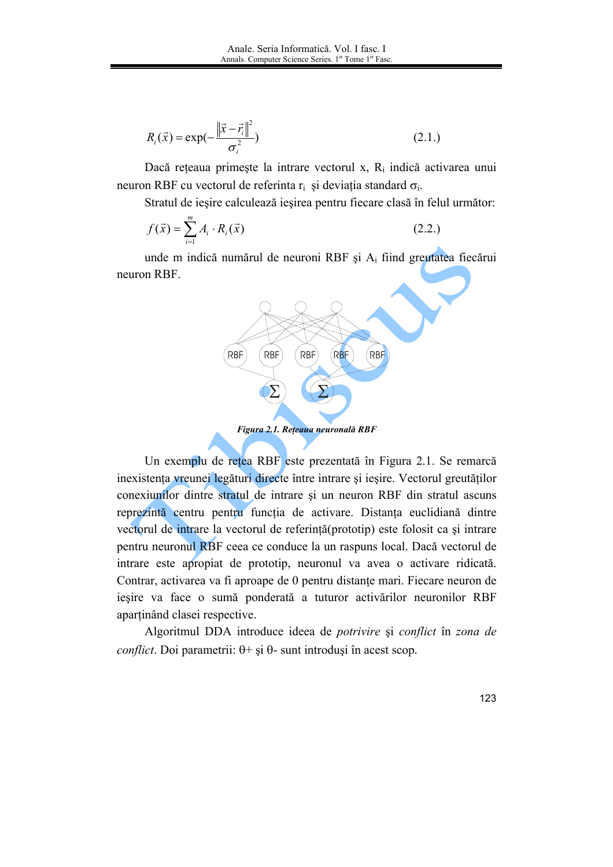$$
R_i(\vec{x}) = \exp(-\frac{\|\vec{x} - \vec{r}_i\|^2}{\sigma_i^2})
$$
\n(2.1.)

Dacă rețeaua primește la intrare vectorul x, R<sub>i</sub> indică activarea unui neuron RBF cu vectorul de referinta r<sub>i</sub> și deviația standard  $\sigma_i$ .

Stratul de iesire calculează iesirea pentru fiecare clasă în felul următor:

$$
f(\vec{x}) = \sum_{i=1}^{m} A_i \cdot R_i(\vec{x})
$$
\n(2.2.)

unde m indică numărul de neuroni RBF și A<sub>i</sub> fiind greutatea fiecărui neuron RBF.



Un exemplu de rețea RBF este prezentată în Figura 2.1. Se remarcă inexistența vreunei legături directe între intrare și ieșire. Vectorul greutăților conexiunilor dintre stratul de intrare și un neuron RBF din stratul ascuns reprezintă centru pentru funcția de activare. Distanta euclidiană dintre vectorul de intrare la vectorul de referință (prototip) este folosit ca și intrare pentru neuronul RBF ceea ce conduce la un raspuns local. Dacă vectorul de intrare este apropiat de prototip, neuronul va avea o activare ridicată. Contrar, activarea va fi aproape de 0 pentru distanțe mari. Fiecare neuron de iesire va face o sumă ponderată a tuturor activărilor neuronilor RBF apartinând clasei respective.

Algoritmul DDA introduce ideea de *potrivire* și *conflict* în zona de *conflict*. Doi parametrii:  $\theta$  + și  $\theta$ - sunt introduși în acest scop.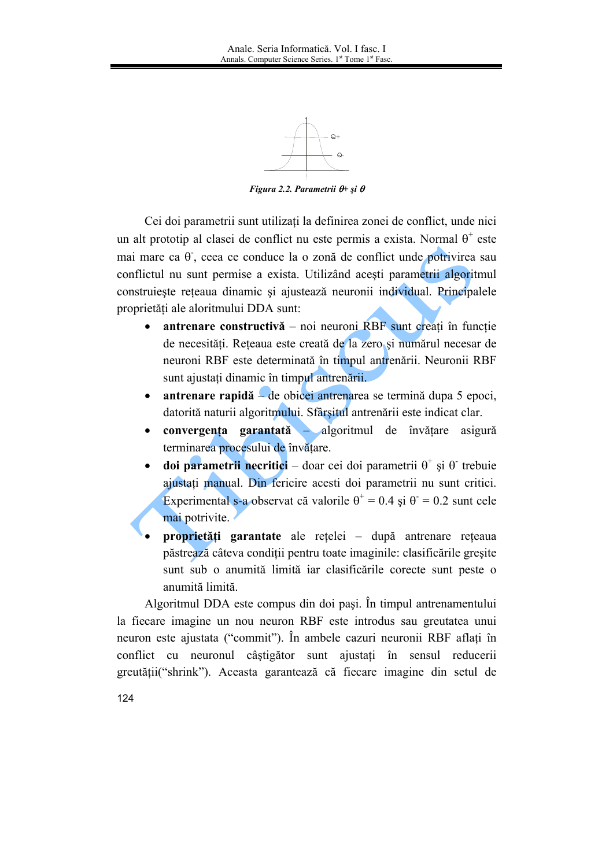

Figura 2.2. Parametrii  $\theta$ + și  $\theta$ 

Cei doi parametrii sunt utilizati la definirea zonei de conflict, unde nici un alt prototip al clasei de conflict nu este permis a exista. Normal  $\theta^+$  este mai mare ca θ, ceea ce conduce la o zonă de conflict unde potrivirea sau conflictul nu sunt permise a exista. Utilizând acesti parametrii algoritmul construieste reteaua dinamic și ajustează neuronii individual. Principalele proprietăți ale aloritmului DDA sunt:

- antrenare constructivă noi neuroni RBF sunt creati în functie de necesități. Rețeaua este creată de la zero și numărul necesar de neuroni RBF este determinată în timpul antrenării. Neuronii RBF sunt ajustati dinamic în timpul antrenării.
- antrenare rapidă de obicei antrenarea se termină dupa 5 epoci,  $\bullet$ datorită naturii algoritmului. Sfârșitul antrenării este indicat clar.
- convergenta garantată algoritmul de învătare asigură terminarea procesului de învătare.
- **doi parametrii necritici** doar cei doi parametrii  $\theta^+$  și  $\theta^-$  trebuie ajustati manual. Din fericire acesti doi parametrii nu sunt critici. Experimental s-a observat că valorile  $\theta^+$  = 0.4 și  $\theta^-$  = 0.2 sunt cele mai potrivite.
- proprietăti garantate ale retelei după antrenare reteaua păstrează câteva condiții pentru toate imaginile: clasificările greșite sunt sub o anumită limită iar clasificările corecte sunt peste o anumită limită.

Algoritmul DDA este compus din doi pasi. În timpul antrenamentului la fiecare imagine un nou neuron RBF este introdus sau greutatea unui neuron este ajustata ("commit"). În ambele cazuri neuronii RBF aflati în conflict cu neuronul câștigător sunt ajustați în sensul reducerii greutății("shrink"). Aceasta garantează că fiecare imagine din setul de

124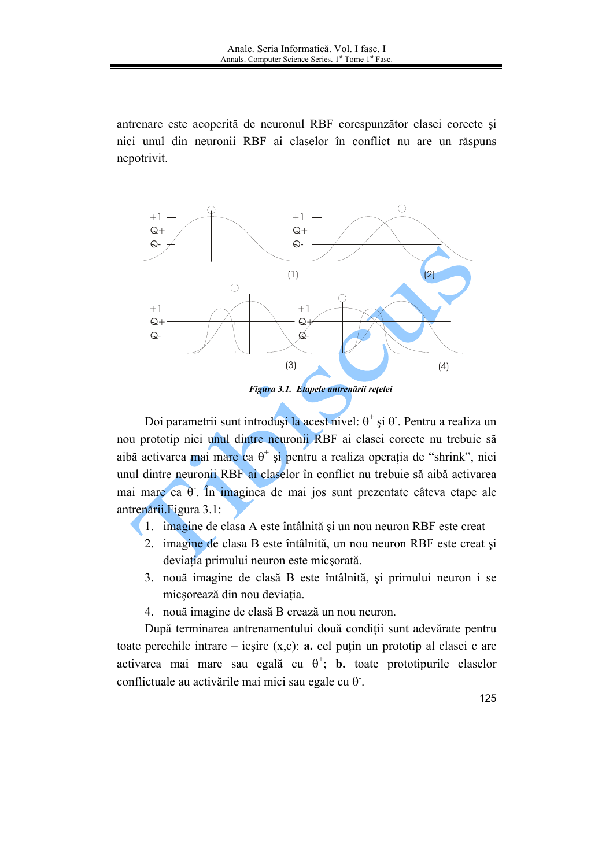antrenare este acoperită de neuronul RBF corespunzător clasei corecte și nici unul din neuronii RBF ai claselor în conflict nu are un răspuns nepotrivit.



Doi parametrii sunt introduși la acest nivel:  $\theta^+$  și  $\theta$ . Pentru a realiza un nou prototip nici unul dintre neuronii RBF ai clasei corecte nu trebuie să aibă activarea mai mare ca  $\theta^+$  și pentru a realiza operația de "shrink", nici unul dintre neuronii RBF ai claselor în conflict nu trebuie să aibă activarea mai mare ca  $\theta$ . În imaginea de mai jos sunt prezentate câteva etape ale antrenării. Figura 3.1:

- 1. imagine de clasa A este întâlnită și un nou neuron RBF este creat
- 2. imagine de clasa B este întâlnită, un nou neuron RBF este creat și deviația primului neuron este micsorată.
- 3. nouă imagine de clasă B este întâlnită, și primului neuron i se micsorează din nou deviația.
- 4. nouă imagine de clasă B crează un nou neuron.

După terminarea antrenamentului două condiții sunt adevărate pentru toate perechile intrare – ieșire  $(x, c)$ : a. cel puțin un prototip al clasei c are activarea mai mare sau egală cu  $\theta^+$ ; **b.** toate prototipurile claselor conflictuale au activările mai mici sau egale cu  $\theta$ .

125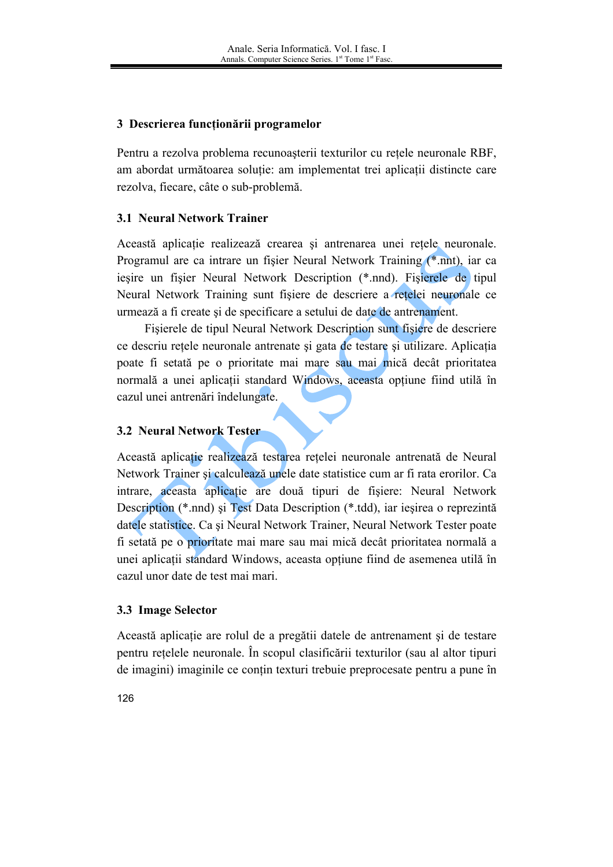## 3 Descrierea funcționării programelor

Pentru a rezolva problema recunoasterii texturilor cu retele neuronale RBF, am abordat următoarea solutie: am implementat trei aplicatii distincte care rezolva, fiecare, câte o sub-problemă.

# **3.1 Neural Network Trainer**

Această aplicatie realizează crearea și antrenarea unei retele neuronale. Programul are ca intrare un fisier Neural Network Training (\*.nnt), iar ca iesire un fisier Neural Network Description (\*.nnd). Fisierele de tipul Neural Network Training sunt fisiere de descriere a retelei neuronale ce urmează a fi create și de specificare a setului de date de antrenament.

Fisierele de tipul Neural Network Description sunt fisiere de descriere ce descriu retele neuronale antrenate si gata de testare si utilizare. Aplicatia poate fi setată pe o prioritate mai mare sau mai mică decât prioritatea normală a unei aplicații standard Windows, aceasta optiune fiind utilă în cazul unei antrenări îndelungate.

# **3.2 Neural Network Tester**

Această aplicatie realizează testarea retelei neuronale antrenată de Neural Network Trainer și calculează unele date statistice cum ar fi rata erorilor. Ca intrare, aceasta aplicatie are două tipuri de fisiere: Neural Network Description (\*.nnd) și Test Data Description (\*.tdd), iar iesirea o reprezintă datele statistice. Ca si Neural Network Trainer, Neural Network Tester poate fi setată pe o prioritate mai mare sau mai mică decât prioritatea normală a unei aplicatii standard Windows, aceasta optiune fiind de asemenea utilă în cazul unor date de test mai mari

#### 3.3 Image Selector

Această aplicație are rolul de a pregătii datele de antrenament și de testare pentru retelele neuronale. În scopul clasificării texturilor (sau al altor tipuri de imagini) imaginile ce conțin texturi trebuie preprocesate pentru a pune în

126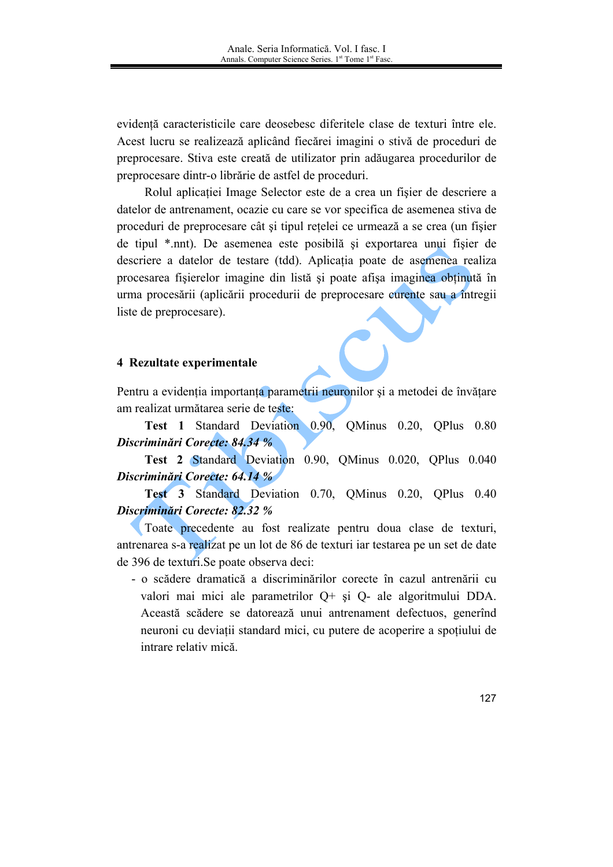evidentă caracteristicile care deosebesc diferitele clase de texturi între ele. Acest lucru se realizează aplicând fiecărei imagini o stivă de proceduri de preprocesare. Stiva este creată de utilizator prin adăugarea procedurilor de preprocesare dintr-o librărie de astfel de proceduri.

Rolul aplicatiei Image Selector este de a crea un fisier de descriere a datelor de antrenament, ocazie cu care se vor specifica de asemenea stiva de proceduri de preprocesare cât și tipul rețelei ce urmează a se crea (un fișier de tipul \*.nnt). De asemenea este posibilă și exportarea unui fișier de descriere a datelor de testare (tdd). Aplicația poate de asemenea realiza procesarea fisierelor imagine din listă și poate afisa imaginea obtinută în urma procesării (aplicării procedurii de preprocesare curente sau a întregii liste de preprocesare).

#### 4 Rezultate experimentale

Pentru a evidenția importanța parametrii neuronilor și a metodei de învățare am realizat următarea serie de teste:

Test 1 Standard Deviation 0.90 OMinus 0.20, OPlus 0.80 Discriminări Corecte: 84.34 %

Test 2 Standard Deviation 0.90, QMinus 0.020, QPlus 0.040 Discriminări Corecte: 64.14 %

Test 3 Standard Deviation 0.70, OMinus 0.20, OPlus 0.40 Discriminări Corecte: 82.32 %

Toate precedente au fost realizate pentru doua clase de texturi, antrenarea s-a realizat pe un lot de 86 de texturi iar testarea pe un set de date de 396 de texturi.Se poate observa deci:

- o scădere dramatică a discriminărilor corecte în cazul antrenării cu valori mai mici ale parametrilor Q+ și Q- ale algoritmului DDA. Această scădere se datorează unui antrenament defectuos, generînd neuroni cu deviații standard mici, cu putere de acoperire a spoțiului de intrare relativ mică